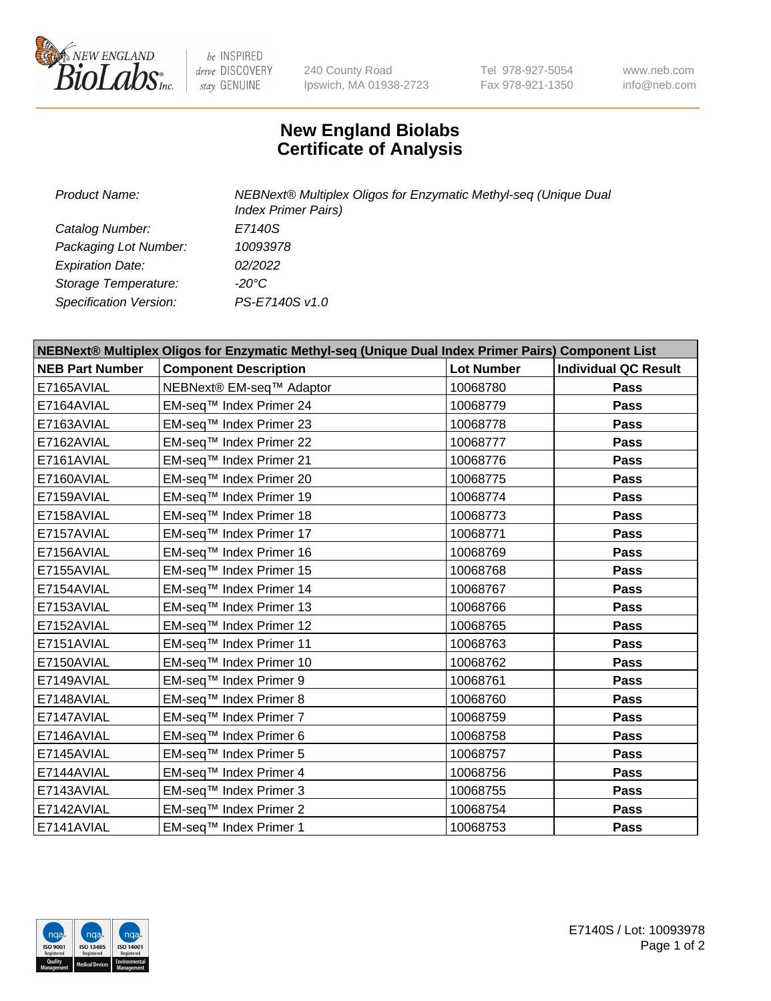

 $be$  INSPIRED drive DISCOVERY stay GENUINE

240 County Road Ipswich, MA 01938-2723 Tel 978-927-5054 Fax 978-921-1350 www.neb.com info@neb.com

## **New England Biolabs Certificate of Analysis**

| Product Name:           | NEBNext® Multiplex Oligos for Enzymatic Methyl-seq (Unique Dual<br><b>Index Primer Pairs)</b> |
|-------------------------|-----------------------------------------------------------------------------------------------|
| Catalog Number:         | E7140S                                                                                        |
| Packaging Lot Number:   | 10093978                                                                                      |
| <b>Expiration Date:</b> | 02/2022                                                                                       |
| Storage Temperature:    | -20°C                                                                                         |
| Specification Version:  | PS-E7140S v1.0                                                                                |

| NEBNext® Multiplex Oligos for Enzymatic Methyl-seq (Unique Dual Index Primer Pairs) Component List |                              |                   |                             |  |
|----------------------------------------------------------------------------------------------------|------------------------------|-------------------|-----------------------------|--|
| <b>NEB Part Number</b>                                                                             | <b>Component Description</b> | <b>Lot Number</b> | <b>Individual QC Result</b> |  |
| E7165AVIAL                                                                                         | NEBNext® EM-seq™ Adaptor     | 10068780          | Pass                        |  |
| E7164AVIAL                                                                                         | EM-seq™ Index Primer 24      | 10068779          | <b>Pass</b>                 |  |
| E7163AVIAL                                                                                         | EM-seq™ Index Primer 23      | 10068778          | Pass                        |  |
| E7162AVIAL                                                                                         | EM-seq™ Index Primer 22      | 10068777          | Pass                        |  |
| E7161AVIAL                                                                                         | EM-seq™ Index Primer 21      | 10068776          | <b>Pass</b>                 |  |
| E7160AVIAL                                                                                         | EM-seq™ Index Primer 20      | 10068775          | <b>Pass</b>                 |  |
| E7159AVIAL                                                                                         | EM-seq™ Index Primer 19      | 10068774          | <b>Pass</b>                 |  |
| E7158AVIAL                                                                                         | EM-seq™ Index Primer 18      | 10068773          | <b>Pass</b>                 |  |
| E7157AVIAL                                                                                         | EM-seq™ Index Primer 17      | 10068771          | Pass                        |  |
| E7156AVIAL                                                                                         | EM-seq™ Index Primer 16      | 10068769          | <b>Pass</b>                 |  |
| E7155AVIAL                                                                                         | EM-seq™ Index Primer 15      | 10068768          | <b>Pass</b>                 |  |
| E7154AVIAL                                                                                         | EM-seq™ Index Primer 14      | 10068767          | Pass                        |  |
| E7153AVIAL                                                                                         | EM-seq™ Index Primer 13      | 10068766          | Pass                        |  |
| E7152AVIAL                                                                                         | EM-seq™ Index Primer 12      | 10068765          | <b>Pass</b>                 |  |
| E7151AVIAL                                                                                         | EM-seq™ Index Primer 11      | 10068763          | <b>Pass</b>                 |  |
| E7150AVIAL                                                                                         | EM-seq™ Index Primer 10      | 10068762          | Pass                        |  |
| E7149AVIAL                                                                                         | EM-seq™ Index Primer 9       | 10068761          | Pass                        |  |
| E7148AVIAL                                                                                         | EM-seq™ Index Primer 8       | 10068760          | <b>Pass</b>                 |  |
| E7147AVIAL                                                                                         | EM-seq™ Index Primer 7       | 10068759          | Pass                        |  |
| E7146AVIAL                                                                                         | EM-seq™ Index Primer 6       | 10068758          | <b>Pass</b>                 |  |
| E7145AVIAL                                                                                         | EM-seq™ Index Primer 5       | 10068757          | <b>Pass</b>                 |  |
| E7144AVIAL                                                                                         | EM-seq™ Index Primer 4       | 10068756          | Pass                        |  |
| E7143AVIAL                                                                                         | EM-seq™ Index Primer 3       | 10068755          | Pass                        |  |
| E7142AVIAL                                                                                         | EM-seq™ Index Primer 2       | 10068754          | <b>Pass</b>                 |  |
| E7141AVIAL                                                                                         | EM-seq™ Index Primer 1       | 10068753          | Pass                        |  |